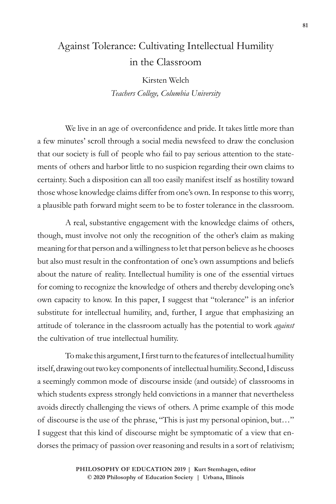# Against Tolerance: Cultivating Intellectual Humility in the Classroom

Kirsten Welch *Teachers College, Columbia University*

We live in an age of overconfidence and pride. It takes little more than a few minutes' scroll through a social media newsfeed to draw the conclusion that our society is full of people who fail to pay serious attention to the statements of others and harbor little to no suspicion regarding their own claims to certainty. Such a disposition can all too easily manifest itself as hostility toward those whose knowledge claims differ from one's own. In response to this worry, a plausible path forward might seem to be to foster tolerance in the classroom.

A real, substantive engagement with the knowledge claims of others, though, must involve not only the recognition of the other's claim as making meaning for that person and a willingness to let that person believe as he chooses but also must result in the confrontation of one's own assumptions and beliefs about the nature of reality. Intellectual humility is one of the essential virtues for coming to recognize the knowledge of others and thereby developing one's own capacity to know. In this paper, I suggest that "tolerance" is an inferior substitute for intellectual humility, and, further, I argue that emphasizing an attitude of tolerance in the classroom actually has the potential to work *against* the cultivation of true intellectual humility.

To make this argument, I first turn to the features of intellectual humility itself, drawing out two key components of intellectual humility. Second, I discuss a seemingly common mode of discourse inside (and outside) of classrooms in which students express strongly held convictions in a manner that nevertheless avoids directly challenging the views of others. A prime example of this mode of discourse is the use of the phrase, "This is just my personal opinion, but…" I suggest that this kind of discourse might be symptomatic of a view that endorses the primacy of passion over reasoning and results in a sort of relativism;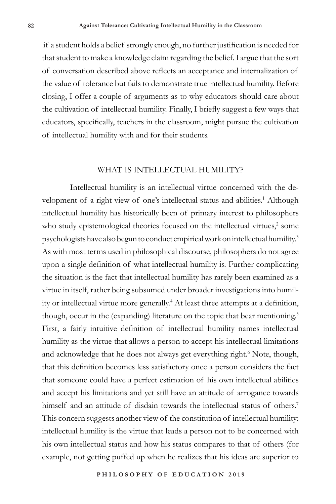if a student holds a belief strongly enough, no further justification is needed for that student to make a knowledge claim regarding the belief. I argue that the sort of conversation described above reflects an acceptance and internalization of the value of tolerance but fails to demonstrate true intellectual humility. Before closing, I offer a couple of arguments as to why educators should care about the cultivation of intellectual humility. Finally, I briefly suggest a few ways that educators, specifically, teachers in the classroom, might pursue the cultivation of intellectual humility with and for their students.

### WHAT IS INTELLECTUAL HUMILITY?

Intellectual humility is an intellectual virtue concerned with the development of a right view of one's intellectual status and abilities.<sup>1</sup> Although intellectual humility has historically been of primary interest to philosophers who study epistemological theories focused on the intellectual virtues,<sup>2</sup> some psychologists have also begun to conduct empirical work on intellectual humility.<sup>3</sup> As with most terms used in philosophical discourse, philosophers do not agree upon a single definition of what intellectual humility is. Further complicating the situation is the fact that intellectual humility has rarely been examined as a virtue in itself, rather being subsumed under broader investigations into humility or intellectual virtue more generally.<sup>4</sup> At least three attempts at a definition, though, occur in the (expanding) literature on the topic that bear mentioning.<sup>5</sup> First, a fairly intuitive definition of intellectual humility names intellectual humility as the virtue that allows a person to accept his intellectual limitations and acknowledge that he does not always get everything right.<sup>6</sup> Note, though, that this definition becomes less satisfactory once a person considers the fact that someone could have a perfect estimation of his own intellectual abilities and accept his limitations and yet still have an attitude of arrogance towards himself and an attitude of disdain towards the intellectual status of others.<sup>7</sup> This concern suggests another view of the constitution of intellectual humility: intellectual humility is the virtue that leads a person not to be concerned with his own intellectual status and how his status compares to that of others (for example, not getting puffed up when he realizes that his ideas are superior to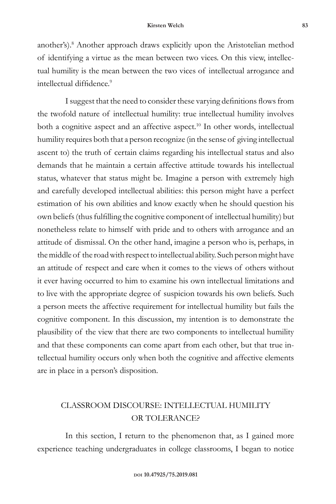another's).<sup>8</sup> Another approach draws explicitly upon the Aristotelian method of identifying a virtue as the mean between two vices. On this view, intellectual humility is the mean between the two vices of intellectual arrogance and intellectual diffidence.<sup>9</sup>

I suggest that the need to consider these varying definitions flows from the twofold nature of intellectual humility: true intellectual humility involves both a cognitive aspect and an affective aspect.<sup>10</sup> In other words, intellectual humility requires both that a person recognize (in the sense of giving intellectual ascent to) the truth of certain claims regarding his intellectual status and also demands that he maintain a certain affective attitude towards his intellectual status, whatever that status might be. Imagine a person with extremely high and carefully developed intellectual abilities: this person might have a perfect estimation of his own abilities and know exactly when he should question his own beliefs (thus fulfilling the cognitive component of intellectual humility) but nonetheless relate to himself with pride and to others with arrogance and an attitude of dismissal. On the other hand, imagine a person who is, perhaps, in the middle of the road with respect to intellectual ability. Such person might have an attitude of respect and care when it comes to the views of others without it ever having occurred to him to examine his own intellectual limitations and to live with the appropriate degree of suspicion towards his own beliefs. Such a person meets the affective requirement for intellectual humility but fails the cognitive component. In this discussion, my intention is to demonstrate the plausibility of the view that there are two components to intellectual humility and that these components can come apart from each other, but that true intellectual humility occurs only when both the cognitive and affective elements are in place in a person's disposition.

# CLASSROOM DISCOURSE: INTELLECTUAL HUMILITY OR TOLERANCE?

In this section, I return to the phenomenon that, as I gained more experience teaching undergraduates in college classrooms, I began to notice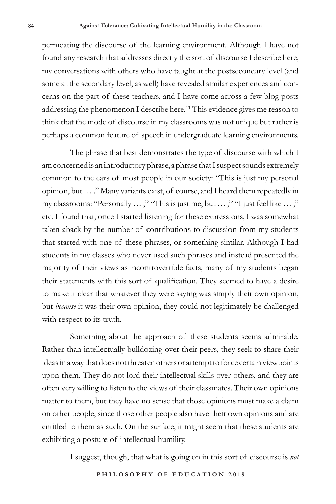permeating the discourse of the learning environment. Although I have not found any research that addresses directly the sort of discourse I describe here, my conversations with others who have taught at the postsecondary level (and some at the secondary level, as well) have revealed similar experiences and concerns on the part of these teachers, and I have come across a few blog posts addressing the phenomenon I describe here.<sup>11</sup> This evidence gives me reason to think that the mode of discourse in my classrooms was not unique but rather is perhaps a common feature of speech in undergraduate learning environments.

The phrase that best demonstrates the type of discourse with which I am concerned is an introductory phrase, a phrase that I suspect sounds extremely common to the ears of most people in our society: "This is just my personal opinion, but … ." Many variants exist, of course, and I heard them repeatedly in my classrooms: "Personally ...," "This is just me, but ...," "I just feel like ...," etc. I found that, once I started listening for these expressions, I was somewhat taken aback by the number of contributions to discussion from my students that started with one of these phrases, or something similar. Although I had students in my classes who never used such phrases and instead presented the majority of their views as incontrovertible facts, many of my students began their statements with this sort of qualification. They seemed to have a desire to make it clear that whatever they were saying was simply their own opinion, but *because* it was their own opinion, they could not legitimately be challenged with respect to its truth.

Something about the approach of these students seems admirable. Rather than intellectually bulldozing over their peers, they seek to share their ideas in a way that does not threaten others or attempt to force certain viewpoints upon them. They do not lord their intellectual skills over others, and they are often very willing to listen to the views of their classmates. Their own opinions matter to them, but they have no sense that those opinions must make a claim on other people, since those other people also have their own opinions and are entitled to them as such. On the surface, it might seem that these students are exhibiting a posture of intellectual humility.

I suggest, though, that what is going on in this sort of discourse is *not*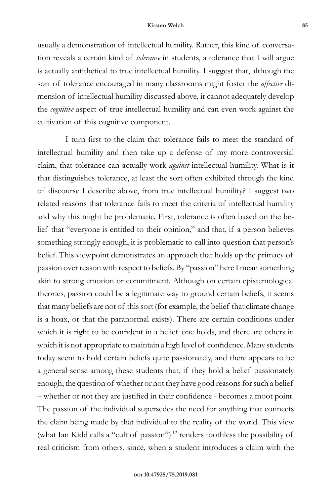#### **Kirsten Welch 85**

usually a demonstration of intellectual humility. Rather, this kind of conversation reveals a certain kind of *tolerance* in students, a tolerance that I will argue is actually antithetical to true intellectual humility. I suggest that, although the sort of tolerance encouraged in many classrooms might foster the *affective* dimension of intellectual humility discussed above, it cannot adequately develop the *cognitive* aspect of true intellectual humility and can even work against the cultivation of this cognitive component.

I turn first to the claim that tolerance fails to meet the standard of intellectual humility and then take up a defense of my more controversial claim, that tolerance can actually work *against* intellectual humility. What is it that distinguishes tolerance, at least the sort often exhibited through the kind of discourse I describe above, from true intellectual humility? I suggest two related reasons that tolerance fails to meet the criteria of intellectual humility and why this might be problematic. First, tolerance is often based on the belief that "everyone is entitled to their opinion," and that, if a person believes something strongly enough, it is problematic to call into question that person's belief. This viewpoint demonstrates an approach that holds up the primacy of passion over reason with respect to beliefs. By "passion" here I mean something akin to strong emotion or commitment. Although on certain epistemological theories, passion could be a legitimate way to ground certain beliefs, it seems that many beliefs are not of this sort (for example, the belief that climate change is a hoax, or that the paranormal exists). There are certain conditions under which it is right to be confident in a belief one holds, and there are others in which it is not appropriate to maintain a high level of confidence. Many students today seem to hold certain beliefs quite passionately, and there appears to be a general sense among these students that, if they hold a belief passionately enough, the question of whether or not they have good reasons for such a belief – whether or not they are justified in their confidence - becomes a moot point. The passion of the individual supersedes the need for anything that connects the claim being made by that individual to the reality of the world. This view (what Ian Kidd calls a "cult of passion") <sup>12</sup> renders toothless the possibility of real criticism from others, since, when a student introduces a claim with the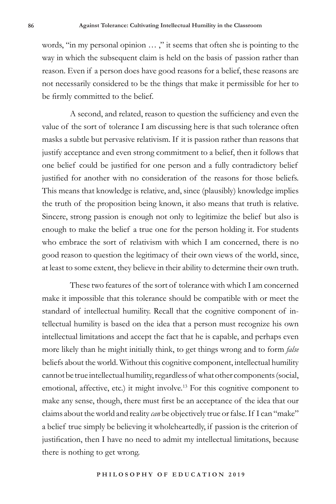words, "in my personal opinion ...," it seems that often she is pointing to the way in which the subsequent claim is held on the basis of passion rather than reason. Even if a person does have good reasons for a belief, these reasons are not necessarily considered to be the things that make it permissible for her to be firmly committed to the belief.

A second, and related, reason to question the sufficiency and even the value of the sort of tolerance I am discussing here is that such tolerance often masks a subtle but pervasive relativism. If it is passion rather than reasons that justify acceptance and even strong commitment to a belief, then it follows that one belief could be justified for one person and a fully contradictory belief justified for another with no consideration of the reasons for those beliefs. This means that knowledge is relative, and, since (plausibly) knowledge implies the truth of the proposition being known, it also means that truth is relative. Sincere, strong passion is enough not only to legitimize the belief but also is enough to make the belief a true one for the person holding it. For students who embrace the sort of relativism with which I am concerned, there is no good reason to question the legitimacy of their own views of the world, since, at least to some extent, they believe in their ability to determine their own truth.

These two features of the sort of tolerance with which I am concerned make it impossible that this tolerance should be compatible with or meet the standard of intellectual humility. Recall that the cognitive component of intellectual humility is based on the idea that a person must recognize his own intellectual limitations and accept the fact that he is capable, and perhaps even more likely than he might initially think, to get things wrong and to form *false* beliefs about the world. Without this cognitive component, intellectual humility cannot be true intellectual humility, regardless of what other components (social, emotional, affective, etc.) it might involve.<sup>13</sup> For this cognitive component to make any sense, though, there must first be an acceptance of the idea that our claims about the world and reality *can* be objectively true or false. If I can "make" a belief true simply be believing it wholeheartedly, if passion is the criterion of justification, then I have no need to admit my intellectual limitations, because there is nothing to get wrong.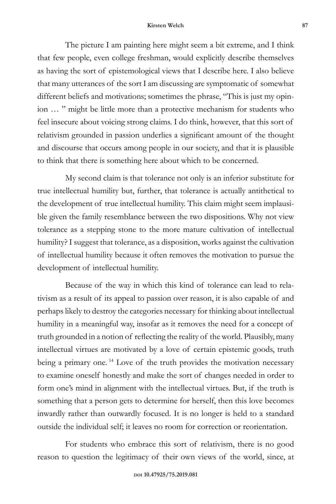#### **Kirsten Welch 87**

The picture I am painting here might seem a bit extreme, and I think that few people, even college freshman, would explicitly describe themselves as having the sort of epistemological views that I describe here. I also believe that many utterances of the sort I am discussing are symptomatic of somewhat different beliefs and motivations; sometimes the phrase, "This is just my opinion … " might be little more than a protective mechanism for students who feel insecure about voicing strong claims. I do think, however, that this sort of relativism grounded in passion underlies a significant amount of the thought and discourse that occurs among people in our society, and that it is plausible to think that there is something here about which to be concerned.

My second claim is that tolerance not only is an inferior substitute for true intellectual humility but, further, that tolerance is actually antithetical to the development of true intellectual humility. This claim might seem implausible given the family resemblance between the two dispositions. Why not view tolerance as a stepping stone to the more mature cultivation of intellectual humility? I suggest that tolerance, as a disposition, works against the cultivation of intellectual humility because it often removes the motivation to pursue the development of intellectual humility.

Because of the way in which this kind of tolerance can lead to relativism as a result of its appeal to passion over reason, it is also capable of and perhaps likely to destroy the categories necessary for thinking about intellectual humility in a meaningful way, insofar as it removes the need for a concept of truth grounded in a notion of reflecting the reality of the world. Plausibly, many intellectual virtues are motivated by a love of certain epistemic goods, truth being a primary one.<sup>14</sup> Love of the truth provides the motivation necessary to examine oneself honestly and make the sort of changes needed in order to form one's mind in alignment with the intellectual virtues. But, if the truth is something that a person gets to determine for herself, then this love becomes inwardly rather than outwardly focused. It is no longer is held to a standard outside the individual self; it leaves no room for correction or reorientation.

For students who embrace this sort of relativism, there is no good reason to question the legitimacy of their own views of the world, since, at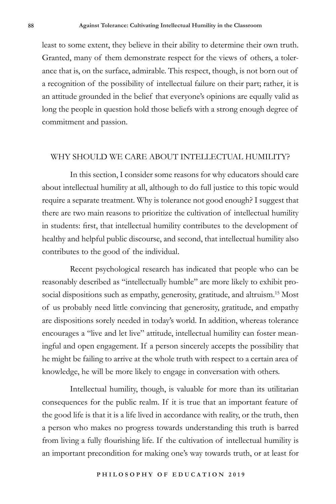least to some extent, they believe in their ability to determine their own truth. Granted, many of them demonstrate respect for the views of others, a tolerance that is, on the surface, admirable. This respect, though, is not born out of a recognition of the possibility of intellectual failure on their part; rather, it is an attitude grounded in the belief that everyone's opinions are equally valid as long the people in question hold those beliefs with a strong enough degree of commitment and passion.

# WHY SHOULD WE CARE ABOUT INTELLECTUAL HUMILITY?

In this section, I consider some reasons for why educators should care about intellectual humility at all, although to do full justice to this topic would require a separate treatment. Why is tolerance not good enough? I suggest that there are two main reasons to prioritize the cultivation of intellectual humility in students: first, that intellectual humility contributes to the development of healthy and helpful public discourse, and second, that intellectual humility also contributes to the good of the individual.

Recent psychological research has indicated that people who can be reasonably described as "intellectually humble" are more likely to exhibit prosocial dispositions such as empathy, generosity, gratitude, and altruism.<sup>15</sup> Most of us probably need little convincing that generosity, gratitude, and empathy are dispositions sorely needed in today's world. In addition, whereas tolerance encourages a "live and let live" attitude, intellectual humility can foster meaningful and open engagement. If a person sincerely accepts the possibility that he might be failing to arrive at the whole truth with respect to a certain area of knowledge, he will be more likely to engage in conversation with others.

Intellectual humility, though, is valuable for more than its utilitarian consequences for the public realm. If it is true that an important feature of the good life is that it is a life lived in accordance with reality, or the truth, then a person who makes no progress towards understanding this truth is barred from living a fully flourishing life. If the cultivation of intellectual humility is an important precondition for making one's way towards truth, or at least for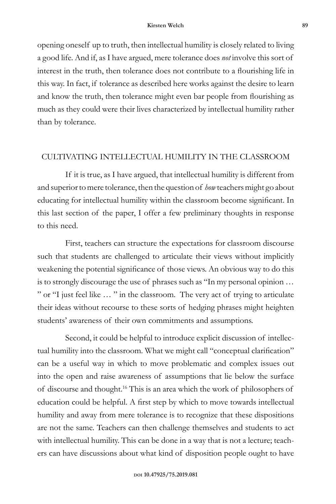opening oneself up to truth, then intellectual humility is closely related to living a good life. And if, as I have argued, mere tolerance does *not* involve this sort of interest in the truth, then tolerance does not contribute to a flourishing life in this way. In fact, if tolerance as described here works against the desire to learn and know the truth, then tolerance might even bar people from flourishing as much as they could were their lives characterized by intellectual humility rather than by tolerance.

# CULTIVATING INTELLECTUAL HUMILITY IN THE CLASSROOM

If it is true, as I have argued, that intellectual humility is different from and superior to mere tolerance, then the question of *how* teachers might go about educating for intellectual humility within the classroom become significant. In this last section of the paper, I offer a few preliminary thoughts in response to this need.

First, teachers can structure the expectations for classroom discourse such that students are challenged to articulate their views without implicitly weakening the potential significance of those views. An obvious way to do this is to strongly discourage the use of phrases such as "In my personal opinion … " or "I just feel like … " in the classroom. The very act of trying to articulate their ideas without recourse to these sorts of hedging phrases might heighten students' awareness of their own commitments and assumptions.

Second, it could be helpful to introduce explicit discussion of intellectual humility into the classroom. What we might call "conceptual clarification" can be a useful way in which to move problematic and complex issues out into the open and raise awareness of assumptions that lie below the surface of discourse and thought.<sup>16</sup> This is an area which the work of philosophers of education could be helpful. A first step by which to move towards intellectual humility and away from mere tolerance is to recognize that these dispositions are not the same. Teachers can then challenge themselves and students to act with intellectual humility. This can be done in a way that is not a lecture; teachers can have discussions about what kind of disposition people ought to have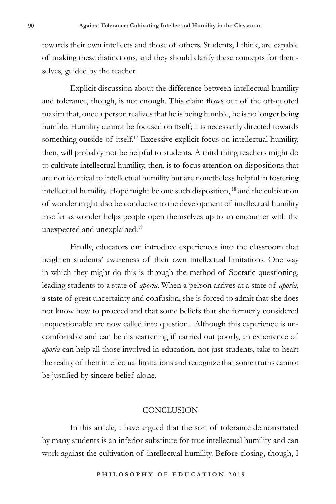towards their own intellects and those of others. Students, I think, are capable of making these distinctions, and they should clarify these concepts for themselves, guided by the teacher.

Explicit discussion about the difference between intellectual humility and tolerance, though, is not enough. This claim flows out of the oft-quoted maxim that, once a person realizes that he is being humble, he is no longer being humble. Humility cannot be focused on itself; it is necessarily directed towards something outside of itself.<sup>17</sup> Excessive explicit focus on intellectual humility, then, will probably not be helpful to students. A third thing teachers might do to cultivate intellectual humility, then, is to focus attention on dispositions that are not identical to intellectual humility but are nonetheless helpful in fostering intellectual humility. Hope might be one such disposition, <sup>18</sup> and the cultivation of wonder might also be conducive to the development of intellectual humility insofar as wonder helps people open themselves up to an encounter with the unexpected and unexplained.<sup>19</sup>

Finally, educators can introduce experiences into the classroom that heighten students' awareness of their own intellectual limitations. One way in which they might do this is through the method of Socratic questioning, leading students to a state of *aporia*. When a person arrives at a state of *aporia*, a state of great uncertainty and confusion, she is forced to admit that she does not know how to proceed and that some beliefs that she formerly considered unquestionable are now called into question. Although this experience is uncomfortable and can be disheartening if carried out poorly, an experience of *aporia* can help all those involved in education, not just students, take to heart the reality of their intellectual limitations and recognize that some truths cannot be justified by sincere belief alone.

# **CONCLUSION**

In this article, I have argued that the sort of tolerance demonstrated by many students is an inferior substitute for true intellectual humility and can work against the cultivation of intellectual humility. Before closing, though, I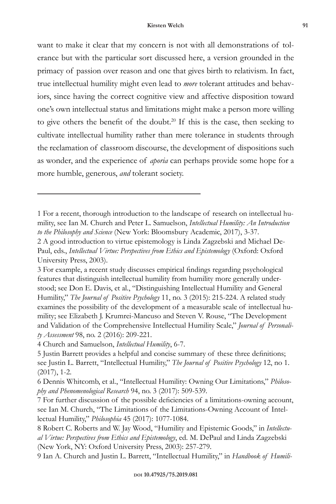want to make it clear that my concern is not with all demonstrations of tolerance but with the particular sort discussed here, a version grounded in the primacy of passion over reason and one that gives birth to relativism. In fact, true intellectual humility might even lead to *more* tolerant attitudes and behaviors, since having the correct cognitive view and affective disposition toward one's own intellectual status and limitations might make a person more willing to give others the benefit of the doubt.<sup>20</sup> If this is the case, then seeking to cultivate intellectual humility rather than mere tolerance in students through the reclamation of classroom discourse, the development of dispositions such as wonder, and the experience of *aporia* can perhaps provide some hope for a more humble, generous, *and* tolerant society.

4 Church and Samuelson, *Intellectual Humility*, 6-7.

<sup>1</sup> For a recent, thorough introduction to the landscape of research on intellectual humility, see Ian M. Church and Peter L. Samuelson, *Intellectual Humility: An Introduction to the Philosophy and Science* (New York: Bloomsbury Academic, 2017), 3-37.

<sup>2</sup> A good introduction to virtue epistemology is Linda Zagzebski and Michael De-Paul, eds., *Intellectual Virtue: Perspectives from Ethics and Epistemology* (Oxford: Oxford University Press, 2003).

<sup>3</sup> For example, a recent study discusses empirical findings regarding psychological features that distinguish intellectual humility from humility more generally understood; see Don E. Davis, et al., "Distinguishing Intellectual Humility and General Humility," *The Journal of Positive Psychology* 11, no. 3 (2015): 215-224. A related study examines the possibility of the development of a measurable scale of intellectual humility; see Elizabeth J. Krumrei-Mancuso and Steven V. Rouse, "The Development and Validation of the Comprehensive Intellectual Humility Scale," *Journal of Personality Assessment* 98, no. 2 (2016): 209-221.

<sup>5</sup> Justin Barrett provides a helpful and concise summary of these three definitions; see Justin L. Barrett, "Intellectual Humility," *The Journal of Positive Psychology* 12, no 1. (2017), 1-2.

<sup>6</sup> Dennis Whitcomb, et al., "Intellectual Humility: Owning Our Limitations," *Philosophy and Phenomenological Research* 94, no. 3 (2017): 509-539.

<sup>7</sup> For further discussion of the possible deficiencies of a limitations-owning account, see Ian M. Church, "The Limitations of the Limitations-Owning Account of Intellectual Humility," *Philosophia* 45 (2017): 1077-1084.

<sup>8</sup> Robert C. Roberts and W. Jay Wood, "Humility and Epistemic Goods," in *Intellectual Virtue: Perspectives from Ethics and Epistemology*, ed. M. DePaul and Linda Zagzebski (New York, NY: Oxford University Press, 2003): 257-279.

<sup>9</sup> Ian A. Church and Justin L. Barrett, "Intellectual Humility," in *Handbook of Humili-*